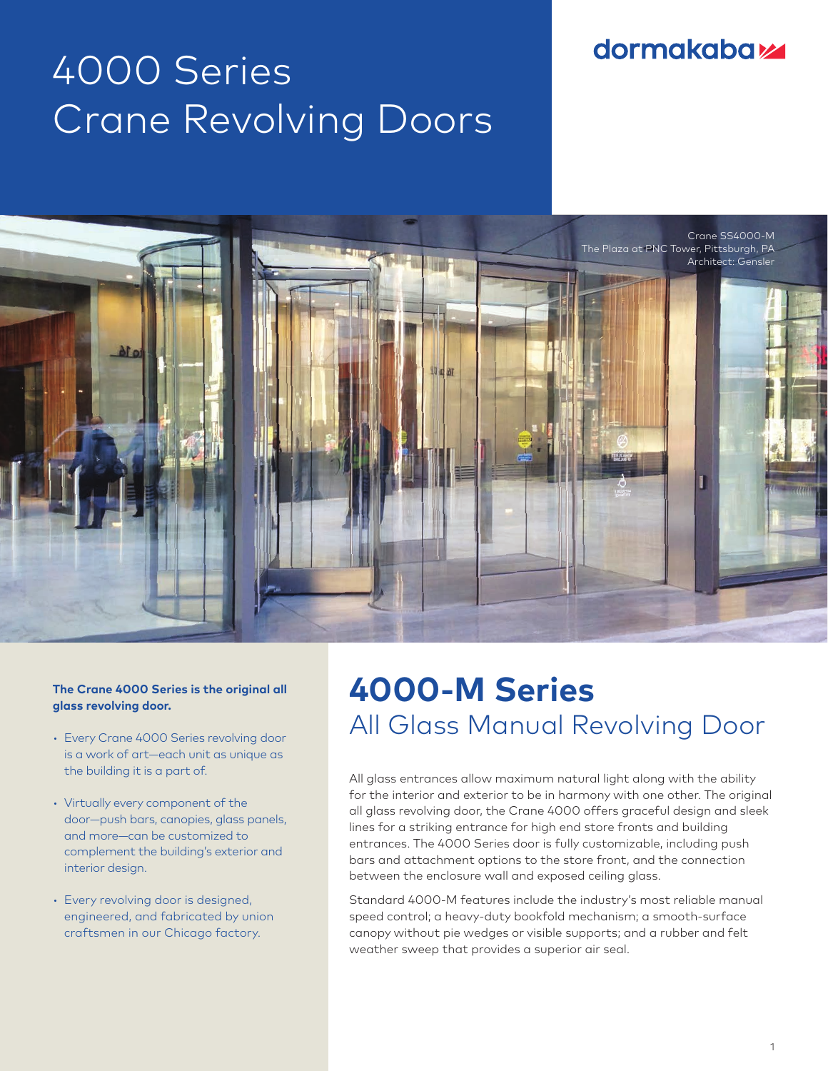### **dormakabaz**

# 4000 Series Crane Revolving Doors



### **The Crane 4000 Series is the original all glass revolving door.**

- Every Crane 4000 Series revolving door is a work of art—each unit as unique as the building it is a part of.
- Virtually every component of the door—push bars, canopies, glass panels, and more—can be customized to complement the building's exterior and interior design.
- Every revolving door is designed, engineered, and fabricated by union craftsmen in our Chicago factory.

## **4000-M Series** All Glass Manual Revolving Door

All glass entrances allow maximum natural light along with the ability for the interior and exterior to be in harmony with one other. The original all glass revolving door, the Crane 4000 offers graceful design and sleek lines for a striking entrance for high end store fronts and building entrances. The 4000 Series door is fully customizable, including push bars and attachment options to the store front, and the connection between the enclosure wall and exposed ceiling glass.

Standard 4000-M features include the industry's most reliable manual speed control; a heavy-duty bookfold mechanism; a smooth-surface canopy without pie wedges or visible supports; and a rubber and felt weather sweep that provides a superior air seal.